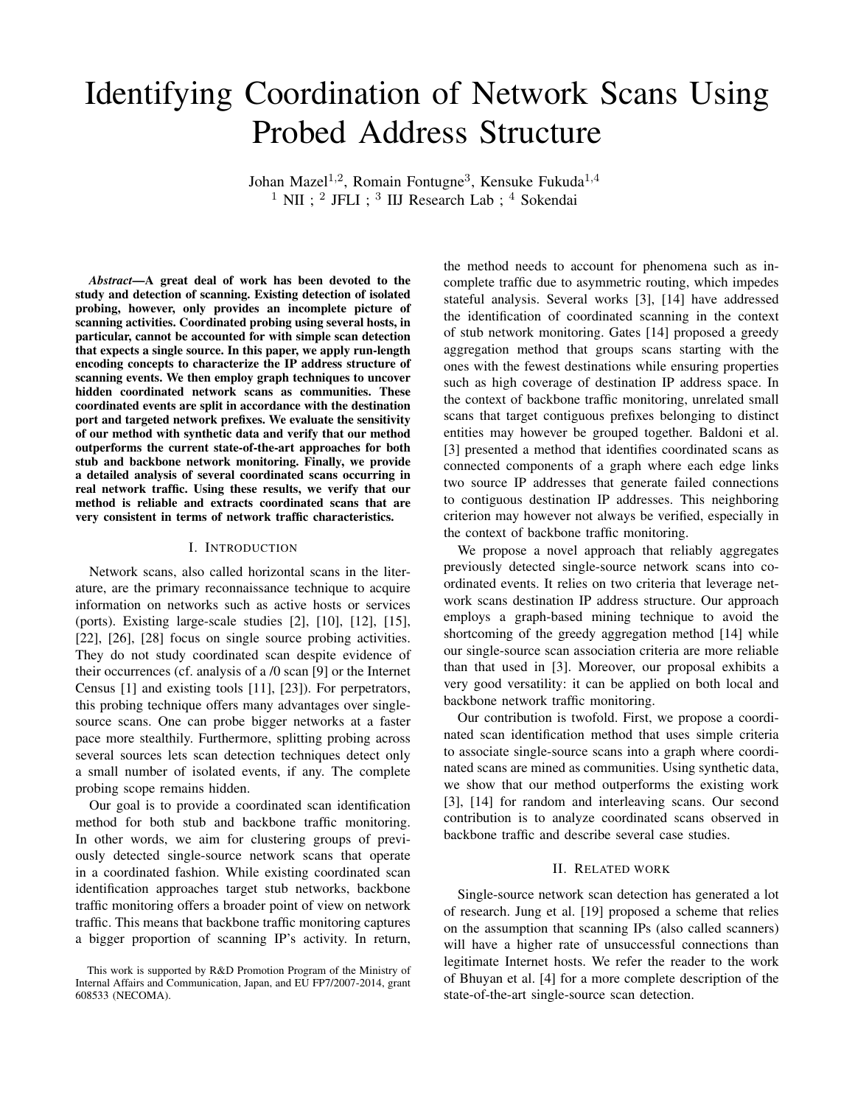# Identifying Coordination of Network Scans Using Probed Address Structure

Johan Mazel<sup>1,2</sup>, Romain Fontugne<sup>3</sup>, Kensuke Fukuda<sup>1,4</sup>  $<sup>1</sup>$  NII ;  $<sup>2</sup>$  JFLI ;  $<sup>3</sup>$  IIJ Research Lab ;  $<sup>4</sup>$  Sokendai</sup></sup></sup></sup>

*Abstract*—A great deal of work has been devoted to the study and detection of scanning. Existing detection of isolated probing, however, only provides an incomplete picture of scanning activities. Coordinated probing using several hosts, in particular, cannot be accounted for with simple scan detection that expects a single source. In this paper, we apply run-length encoding concepts to characterize the IP address structure of scanning events. We then employ graph techniques to uncover hidden coordinated network scans as communities. These coordinated events are split in accordance with the destination port and targeted network prefixes. We evaluate the sensitivity of our method with synthetic data and verify that our method outperforms the current state-of-the-art approaches for both stub and backbone network monitoring. Finally, we provide a detailed analysis of several coordinated scans occurring in real network traffic. Using these results, we verify that our method is reliable and extracts coordinated scans that are very consistent in terms of network traffic characteristics.

# I. INTRODUCTION

Network scans, also called horizontal scans in the literature, are the primary reconnaissance technique to acquire information on networks such as active hosts or services (ports). Existing large-scale studies [2], [10], [12], [15], [22], [26], [28] focus on single source probing activities. They do not study coordinated scan despite evidence of their occurrences (cf. analysis of a /0 scan [9] or the Internet Census [1] and existing tools [11], [23]). For perpetrators, this probing technique offers many advantages over singlesource scans. One can probe bigger networks at a faster pace more stealthily. Furthermore, splitting probing across several sources lets scan detection techniques detect only a small number of isolated events, if any. The complete probing scope remains hidden.

Our goal is to provide a coordinated scan identification method for both stub and backbone traffic monitoring. In other words, we aim for clustering groups of previously detected single-source network scans that operate in a coordinated fashion. While existing coordinated scan identification approaches target stub networks, backbone traffic monitoring offers a broader point of view on network traffic. This means that backbone traffic monitoring captures a bigger proportion of scanning IP's activity. In return, the method needs to account for phenomena such as incomplete traffic due to asymmetric routing, which impedes stateful analysis. Several works [3], [14] have addressed the identification of coordinated scanning in the context of stub network monitoring. Gates [14] proposed a greedy aggregation method that groups scans starting with the ones with the fewest destinations while ensuring properties such as high coverage of destination IP address space. In the context of backbone traffic monitoring, unrelated small scans that target contiguous prefixes belonging to distinct entities may however be grouped together. Baldoni et al. [3] presented a method that identifies coordinated scans as connected components of a graph where each edge links two source IP addresses that generate failed connections to contiguous destination IP addresses. This neighboring criterion may however not always be verified, especially in the context of backbone traffic monitoring.

We propose a novel approach that reliably aggregates previously detected single-source network scans into coordinated events. It relies on two criteria that leverage network scans destination IP address structure. Our approach employs a graph-based mining technique to avoid the shortcoming of the greedy aggregation method [14] while our single-source scan association criteria are more reliable than that used in [3]. Moreover, our proposal exhibits a very good versatility: it can be applied on both local and backbone network traffic monitoring.

Our contribution is twofold. First, we propose a coordinated scan identification method that uses simple criteria to associate single-source scans into a graph where coordinated scans are mined as communities. Using synthetic data, we show that our method outperforms the existing work [3], [14] for random and interleaving scans. Our second contribution is to analyze coordinated scans observed in backbone traffic and describe several case studies.

# II. RELATED WORK

Single-source network scan detection has generated a lot of research. Jung et al. [19] proposed a scheme that relies on the assumption that scanning IPs (also called scanners) will have a higher rate of unsuccessful connections than legitimate Internet hosts. We refer the reader to the work of Bhuyan et al. [4] for a more complete description of the state-of-the-art single-source scan detection.

This work is supported by R&D Promotion Program of the Ministry of Internal Affairs and Communication, Japan, and EU FP7/2007-2014, grant 608533 (NECOMA).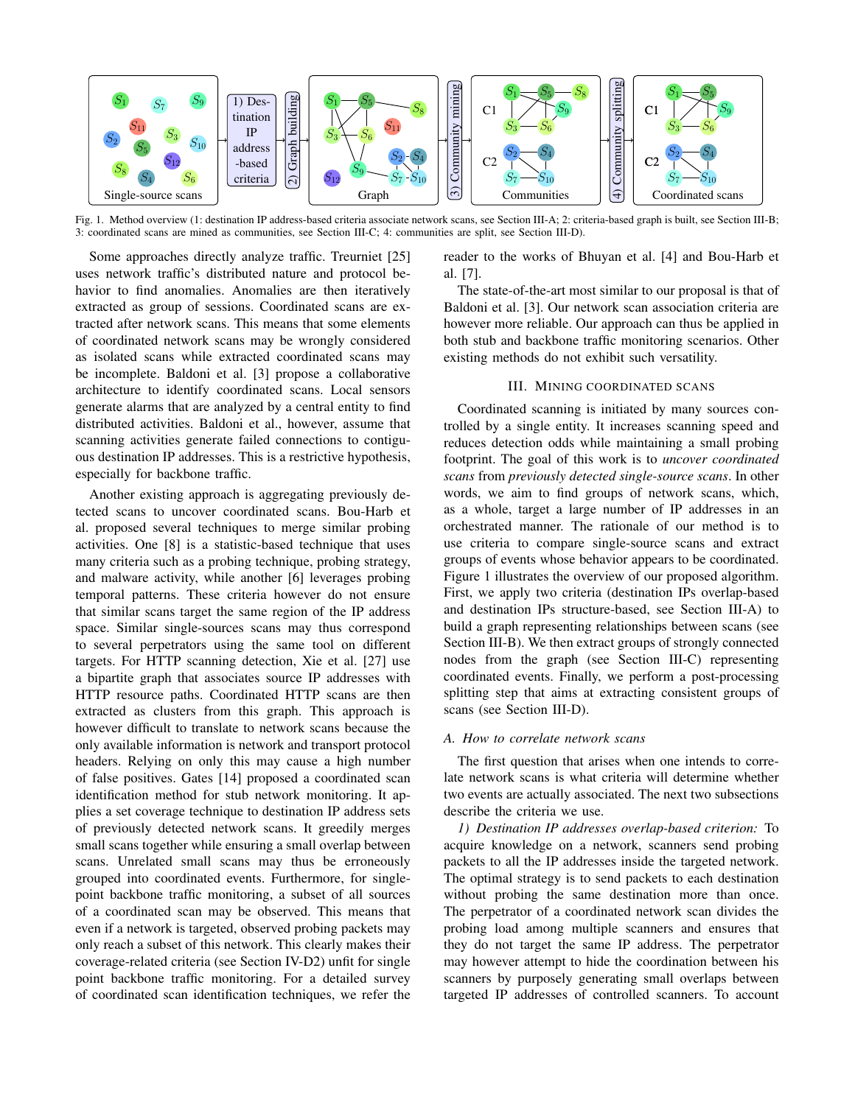

Fig. 1. Method overview (1: destination IP address-based criteria associate network scans, see Section III-A; 2: criteria-based graph is built, see Section III-B; 3: coordinated scans are mined as communities, see Section III-C; 4: communities are split, see Section III-D).

Some approaches directly analyze traffic. Treurniet [25] uses network traffic's distributed nature and protocol behavior to find anomalies. Anomalies are then iteratively extracted as group of sessions. Coordinated scans are extracted after network scans. This means that some elements of coordinated network scans may be wrongly considered as isolated scans while extracted coordinated scans may be incomplete. Baldoni et al. [3] propose a collaborative architecture to identify coordinated scans. Local sensors generate alarms that are analyzed by a central entity to find distributed activities. Baldoni et al., however, assume that scanning activities generate failed connections to contiguous destination IP addresses. This is a restrictive hypothesis, especially for backbone traffic.

Another existing approach is aggregating previously detected scans to uncover coordinated scans. Bou-Harb et al. proposed several techniques to merge similar probing activities. One [8] is a statistic-based technique that uses many criteria such as a probing technique, probing strategy, and malware activity, while another [6] leverages probing temporal patterns. These criteria however do not ensure that similar scans target the same region of the IP address space. Similar single-sources scans may thus correspond to several perpetrators using the same tool on different targets. For HTTP scanning detection, Xie et al. [27] use a bipartite graph that associates source IP addresses with HTTP resource paths. Coordinated HTTP scans are then extracted as clusters from this graph. This approach is however difficult to translate to network scans because the only available information is network and transport protocol headers. Relying on only this may cause a high number of false positives. Gates [14] proposed a coordinated scan identification method for stub network monitoring. It applies a set coverage technique to destination IP address sets of previously detected network scans. It greedily merges small scans together while ensuring a small overlap between scans. Unrelated small scans may thus be erroneously grouped into coordinated events. Furthermore, for singlepoint backbone traffic monitoring, a subset of all sources of a coordinated scan may be observed. This means that even if a network is targeted, observed probing packets may only reach a subset of this network. This clearly makes their coverage-related criteria (see Section IV-D2) unfit for single point backbone traffic monitoring. For a detailed survey of coordinated scan identification techniques, we refer the

reader to the works of Bhuyan et al. [4] and Bou-Harb et al. [7].

The state-of-the-art most similar to our proposal is that of Baldoni et al. [3]. Our network scan association criteria are however more reliable. Our approach can thus be applied in both stub and backbone traffic monitoring scenarios. Other existing methods do not exhibit such versatility.

# III. MINING COORDINATED SCANS

Coordinated scanning is initiated by many sources controlled by a single entity. It increases scanning speed and reduces detection odds while maintaining a small probing footprint. The goal of this work is to *uncover coordinated scans* from *previously detected single-source scans*. In other words, we aim to find groups of network scans, which, as a whole, target a large number of IP addresses in an orchestrated manner. The rationale of our method is to use criteria to compare single-source scans and extract groups of events whose behavior appears to be coordinated. Figure 1 illustrates the overview of our proposed algorithm. First, we apply two criteria (destination IPs overlap-based and destination IPs structure-based, see Section III-A) to build a graph representing relationships between scans (see Section III-B). We then extract groups of strongly connected nodes from the graph (see Section III-C) representing coordinated events. Finally, we perform a post-processing splitting step that aims at extracting consistent groups of scans (see Section III-D).

# *A. How to correlate network scans*

The first question that arises when one intends to correlate network scans is what criteria will determine whether two events are actually associated. The next two subsections describe the criteria we use.

*1) Destination IP addresses overlap-based criterion:* To acquire knowledge on a network, scanners send probing packets to all the IP addresses inside the targeted network. The optimal strategy is to send packets to each destination without probing the same destination more than once. The perpetrator of a coordinated network scan divides the probing load among multiple scanners and ensures that they do not target the same IP address. The perpetrator may however attempt to hide the coordination between his scanners by purposely generating small overlaps between targeted IP addresses of controlled scanners. To account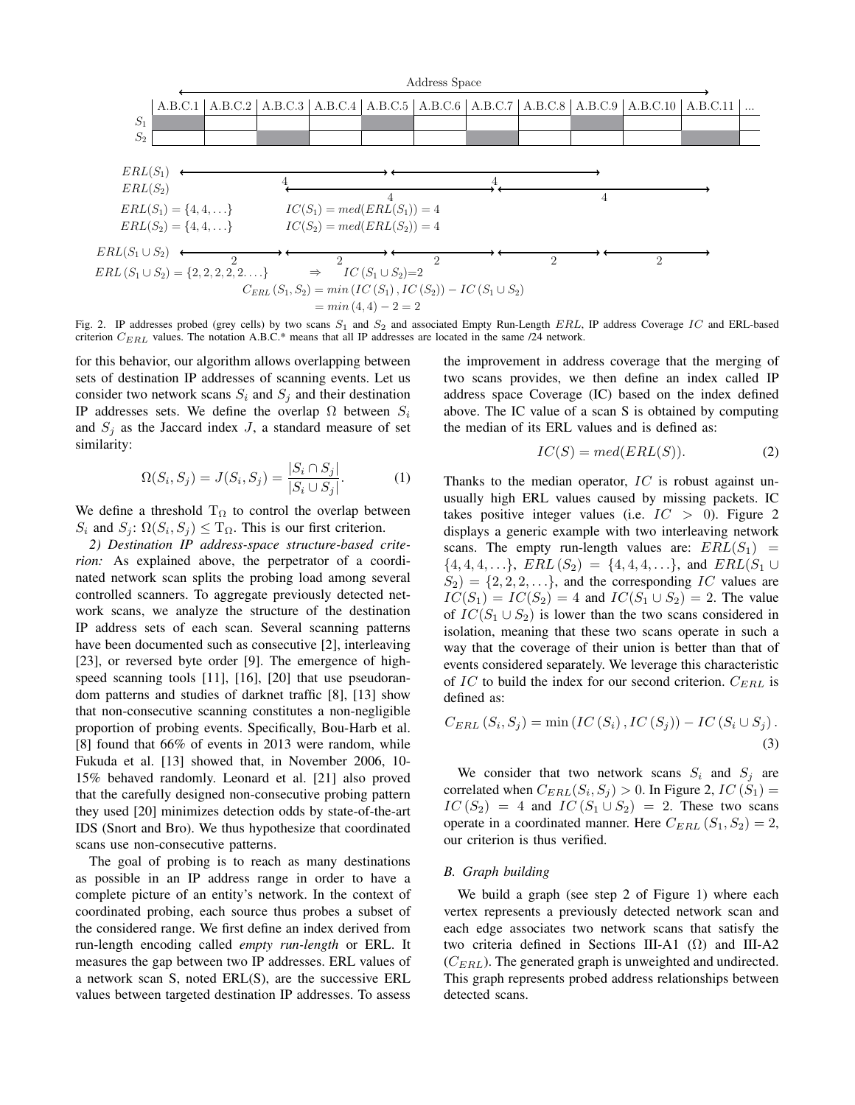

Fig. 2. IP addresses probed (grey cells) by two scans  $S_1$  and  $S_2$  and associated Empty Run-Length ERL, IP address Coverage IC and ERL-based criterion  $C_{ERL}$  values. The notation A.B.C.\* means that all IP addresses are located in the same /24 network.

for this behavior, our algorithm allows overlapping between sets of destination IP addresses of scanning events. Let us consider two network scans  $S_i$  and  $S_j$  and their destination IP addresses sets. We define the overlap  $\Omega$  between  $S_i$ and  $S_j$  as the Jaccard index  $J$ , a standard measure of set similarity:

$$
\Omega(S_i, S_j) = J(S_i, S_j) = \frac{|S_i \cap S_j|}{|S_i \cup S_j|}.
$$
 (1)

We define a threshold  $T_{\Omega}$  to control the overlap between  $S_i$  and  $S_j$ :  $\Omega(S_i, S_j) \leq T_{\Omega}$ . This is our first criterion.

*2) Destination IP address-space structure-based criterion:* As explained above, the perpetrator of a coordinated network scan splits the probing load among several controlled scanners. To aggregate previously detected network scans, we analyze the structure of the destination IP address sets of each scan. Several scanning patterns have been documented such as consecutive [2], interleaving [23], or reversed byte order [9]. The emergence of highspeed scanning tools [11], [16], [20] that use pseudorandom patterns and studies of darknet traffic [8], [13] show that non-consecutive scanning constitutes a non-negligible proportion of probing events. Specifically, Bou-Harb et al. [8] found that 66% of events in 2013 were random, while Fukuda et al. [13] showed that, in November 2006, 10- 15% behaved randomly. Leonard et al. [21] also proved that the carefully designed non-consecutive probing pattern they used [20] minimizes detection odds by state-of-the-art IDS (Snort and Bro). We thus hypothesize that coordinated scans use non-consecutive patterns.

The goal of probing is to reach as many destinations as possible in an IP address range in order to have a complete picture of an entity's network. In the context of coordinated probing, each source thus probes a subset of the considered range. We first define an index derived from run-length encoding called *empty run-length* or ERL. It measures the gap between two IP addresses. ERL values of a network scan S, noted ERL(S), are the successive ERL values between targeted destination IP addresses. To assess

the improvement in address coverage that the merging of two scans provides, we then define an index called IP address space Coverage (IC) based on the index defined above. The IC value of a scan S is obtained by computing the median of its ERL values and is defined as:

$$
IC(S) = med(ERL(S)).
$$
 (2)

Thanks to the median operator,  $IC$  is robust against unusually high ERL values caused by missing packets. IC takes positive integer values (i.e.  $IC > 0$ ). Figure 2 displays a generic example with two interleaving network scans. The empty run-length values are:  $ERL(S_1)$  =  $\{4, 4, 4, \ldots\}, ERL(S_2) = \{4, 4, 4, \ldots\}, \text{ and } ERL(S_1 \cup$  $S_2$  = {2, 2, 2, ...}, and the corresponding *IC* values are  $IC(S_1) = IC(S_2) = 4$  and  $IC(S_1 \cup S_2) = 2$ . The value of  $IC(S_1 \cup S_2)$  is lower than the two scans considered in isolation, meaning that these two scans operate in such a way that the coverage of their union is better than that of events considered separately. We leverage this characteristic of  $IC$  to build the index for our second criterion.  $C_{ERL}$  is defined as:

$$
C_{ERL}(S_i, S_j) = \min (IC(S_i), IC(S_j)) - IC(S_i \cup S_j).
$$
\n(3)

We consider that two network scans  $S_i$  and  $S_j$  are correlated when  $C_{ERL}(S_i, S_j) > 0$ . In Figure 2,  $IC(S_1) =$  $IC(S_2) = 4$  and  $IC(S_1 \cup S_2) = 2$ . These two scans operate in a coordinated manner. Here  $C_{ERL}$   $(S_1, S_2) = 2$ , our criterion is thus verified.

# *B. Graph building*

We build a graph (see step 2 of Figure 1) where each vertex represents a previously detected network scan and each edge associates two network scans that satisfy the two criteria defined in Sections III-A1  $(\Omega)$  and III-A2  $(C_{EBL})$ . The generated graph is unweighted and undirected. This graph represents probed address relationships between detected scans.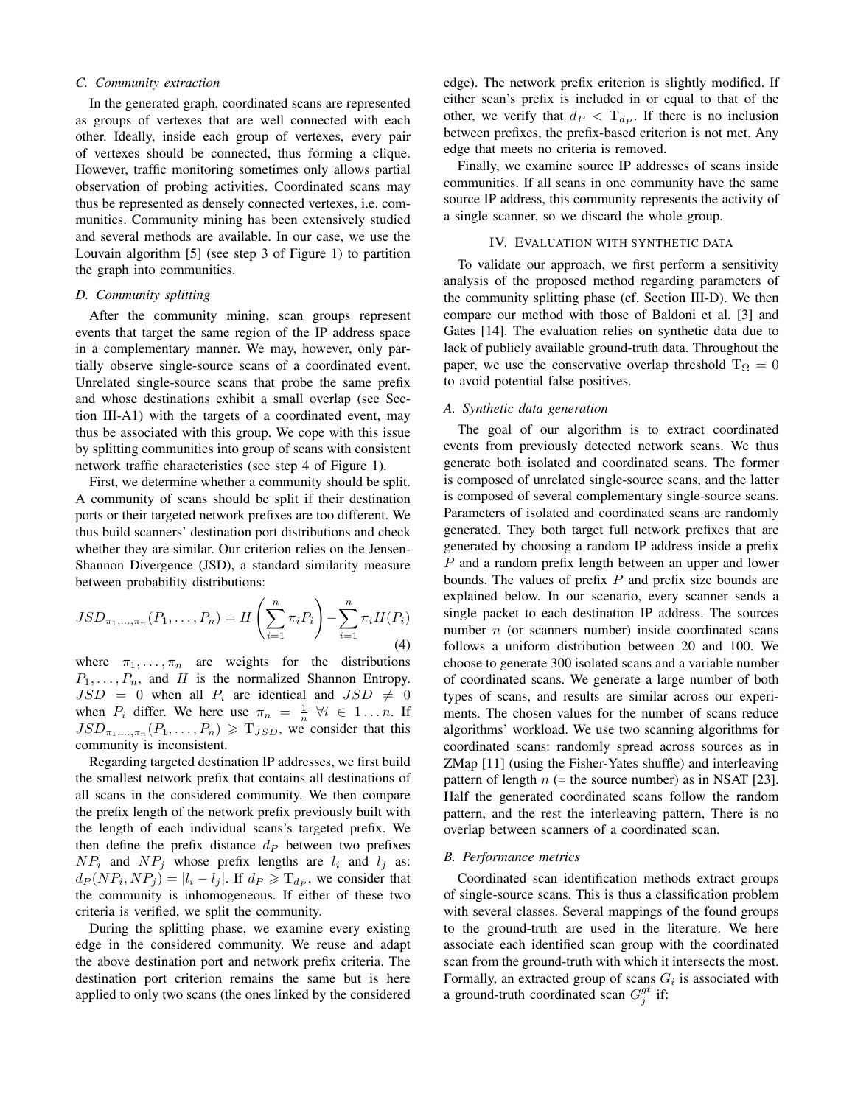# *C. Community extraction*

In the generated graph, coordinated scans are represented as groups of vertexes that are well connected with each other. Ideally, inside each group of vertexes, every pair of vertexes should be connected, thus forming a clique. However, traffic monitoring sometimes only allows partial observation of probing activities. Coordinated scans may thus be represented as densely connected vertexes, i.e. communities. Community mining has been extensively studied and several methods are available. In our case, we use the Louvain algorithm [5] (see step 3 of Figure 1) to partition the graph into communities.

## *D. Community splitting*

After the community mining, scan groups represent events that target the same region of the IP address space in a complementary manner. We may, however, only partially observe single-source scans of a coordinated event. Unrelated single-source scans that probe the same prefix and whose destinations exhibit a small overlap (see Section III-A1) with the targets of a coordinated event, may thus be associated with this group. We cope with this issue by splitting communities into group of scans with consistent network traffic characteristics (see step 4 of Figure 1).

First, we determine whether a community should be split. A community of scans should be split if their destination ports or their targeted network prefixes are too different. We thus build scanners' destination port distributions and check whether they are similar. Our criterion relies on the Jensen-Shannon Divergence (JSD), a standard similarity measure between probability distributions:

$$
JSD_{\pi_1,...,\pi_n}(P_1,...,P_n) = H\left(\sum_{i=1}^n \pi_i P_i\right) - \sum_{i=1}^n \pi_i H(P_i)
$$
\n(4)

where  $\pi_1, \ldots, \pi_n$  are weights for the distributions  $P_1, \ldots, P_n$ , and H is the normalized Shannon Entropy.  $JSD = 0$  when all  $P_i$  are identical and  $JSD \neq 0$ when  $P_i$  differ. We here use  $\pi_n = \frac{1}{n} \forall i \in 1...n$ . If  $JSD_{\pi_1,...,\pi_n}(P_1,...,P_n) \geq T_{JSD}$ , we consider that this community is inconsistent.

Regarding targeted destination IP addresses, we first build the smallest network prefix that contains all destinations of all scans in the considered community. We then compare the prefix length of the network prefix previously built with the length of each individual scans's targeted prefix. We then define the prefix distance  $d<sub>P</sub>$  between two prefixes  $NP_i$  and  $NP_j$  whose prefix lengths are  $l_i$  and  $l_j$  as:  $d_P(NP_i, NP_j) = |l_i - l_j|$ . If  $d_P \ge T_{d_P}$ , we consider that the community is inhomogeneous. If either of these two criteria is verified, we split the community.

During the splitting phase, we examine every existing edge in the considered community. We reuse and adapt the above destination port and network prefix criteria. The destination port criterion remains the same but is here applied to only two scans (the ones linked by the considered edge). The network prefix criterion is slightly modified. If either scan's prefix is included in or equal to that of the other, we verify that  $d_P < T_{d_P}$ . If there is no inclusion between prefixes, the prefix-based criterion is not met. Any edge that meets no criteria is removed.

Finally, we examine source IP addresses of scans inside communities. If all scans in one community have the same source IP address, this community represents the activity of a single scanner, so we discard the whole group.

## IV. EVALUATION WITH SYNTHETIC DATA

To validate our approach, we first perform a sensitivity analysis of the proposed method regarding parameters of the community splitting phase (cf. Section III-D). We then compare our method with those of Baldoni et al. [3] and Gates [14]. The evaluation relies on synthetic data due to lack of publicly available ground-truth data. Throughout the paper, we use the conservative overlap threshold  $T_{\Omega} = 0$ to avoid potential false positives.

## *A. Synthetic data generation*

The goal of our algorithm is to extract coordinated events from previously detected network scans. We thus generate both isolated and coordinated scans. The former is composed of unrelated single-source scans, and the latter is composed of several complementary single-source scans. Parameters of isolated and coordinated scans are randomly generated. They both target full network prefixes that are generated by choosing a random IP address inside a prefix P and a random prefix length between an upper and lower bounds. The values of prefix  $P$  and prefix size bounds are explained below. In our scenario, every scanner sends a single packet to each destination IP address. The sources number *n* (or scanners number) inside coordinated scans follows a uniform distribution between 20 and 100. We choose to generate 300 isolated scans and a variable number of coordinated scans. We generate a large number of both types of scans, and results are similar across our experiments. The chosen values for the number of scans reduce algorithms' workload. We use two scanning algorithms for coordinated scans: randomly spread across sources as in ZMap [11] (using the Fisher-Yates shuffle) and interleaving pattern of length  $n$  (= the source number) as in NSAT [23]. Half the generated coordinated scans follow the random pattern, and the rest the interleaving pattern, There is no overlap between scanners of a coordinated scan.

#### *B. Performance metrics*

Coordinated scan identification methods extract groups of single-source scans. This is thus a classification problem with several classes. Several mappings of the found groups to the ground-truth are used in the literature. We here associate each identified scan group with the coordinated scan from the ground-truth with which it intersects the most. Formally, an extracted group of scans  $G_i$  is associated with a ground-truth coordinated scan  $G_j^{gt}$  if: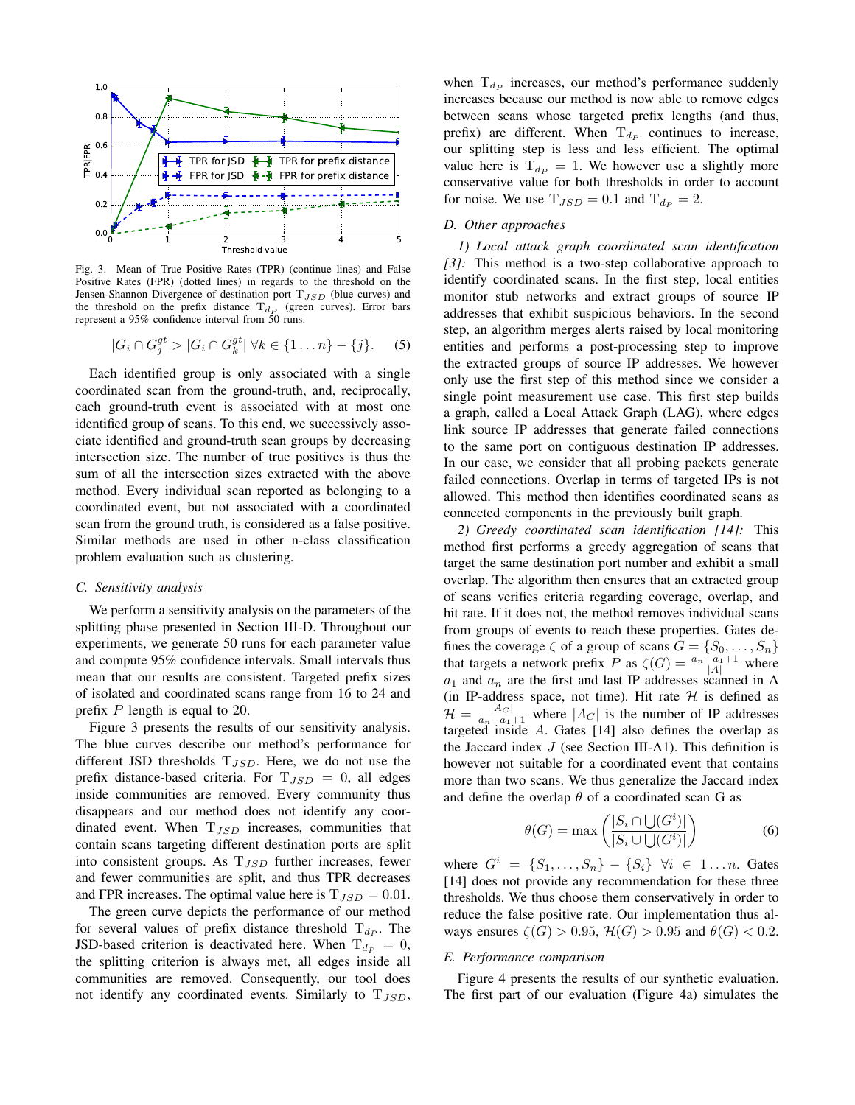

Fig. 3. Mean of True Positive Rates (TPR) (continue lines) and False Positive Rates (FPR) (dotted lines) in regards to the threshold on the Jensen-Shannon Divergence of destination port  $T_{JSD}$  (blue curves) and the threshold on the prefix distance  $T_{d_P}$  (green curves). Error bars represent a 95% confidence interval from 50 runs.

$$
|G_i \cap G_j^{gt}| > |G_i \cap G_k^{gt}| \ \forall k \in \{1 \dots n\} - \{j\}.
$$
 (5)

Each identified group is only associated with a single coordinated scan from the ground-truth, and, reciprocally, each ground-truth event is associated with at most one identified group of scans. To this end, we successively associate identified and ground-truth scan groups by decreasing intersection size. The number of true positives is thus the sum of all the intersection sizes extracted with the above method. Every individual scan reported as belonging to a coordinated event, but not associated with a coordinated scan from the ground truth, is considered as a false positive. Similar methods are used in other n-class classification problem evaluation such as clustering.

#### *C. Sensitivity analysis*

We perform a sensitivity analysis on the parameters of the splitting phase presented in Section III-D. Throughout our experiments, we generate 50 runs for each parameter value and compute 95% confidence intervals. Small intervals thus mean that our results are consistent. Targeted prefix sizes of isolated and coordinated scans range from 16 to 24 and prefix P length is equal to 20.

Figure 3 presents the results of our sensitivity analysis. The blue curves describe our method's performance for different JSD thresholds  $T_{JSD}$ . Here, we do not use the prefix distance-based criteria. For  $T_{JSD} = 0$ , all edges inside communities are removed. Every community thus disappears and our method does not identify any coordinated event. When  $T_{JSD}$  increases, communities that contain scans targeting different destination ports are split into consistent groups. As  $T_{JSD}$  further increases, fewer and fewer communities are split, and thus TPR decreases and FPR increases. The optimal value here is  $T_{JSD} = 0.01$ .

The green curve depicts the performance of our method for several values of prefix distance threshold  $T_{dp}$ . The JSD-based criterion is deactivated here. When  $T_{dp} = 0$ , the splitting criterion is always met, all edges inside all communities are removed. Consequently, our tool does not identify any coordinated events. Similarly to  $T_{JSD}$ ,

when  $T_{d_p}$  increases, our method's performance suddenly increases because our method is now able to remove edges between scans whose targeted prefix lengths (and thus, prefix) are different. When  $T_{d_P}$  continues to increase, our splitting step is less and less efficient. The optimal value here is  $T_{dp} = 1$ . We however use a slightly more conservative value for both thresholds in order to account for noise. We use  $T_{JSD} = 0.1$  and  $T_{dp} = 2$ .

# *D. Other approaches*

*1) Local attack graph coordinated scan identification [3]:* This method is a two-step collaborative approach to identify coordinated scans. In the first step, local entities monitor stub networks and extract groups of source IP addresses that exhibit suspicious behaviors. In the second step, an algorithm merges alerts raised by local monitoring entities and performs a post-processing step to improve the extracted groups of source IP addresses. We however only use the first step of this method since we consider a single point measurement use case. This first step builds a graph, called a Local Attack Graph (LAG), where edges link source IP addresses that generate failed connections to the same port on contiguous destination IP addresses. In our case, we consider that all probing packets generate failed connections. Overlap in terms of targeted IPs is not allowed. This method then identifies coordinated scans as connected components in the previously built graph.

*2) Greedy coordinated scan identification [14]:* This method first performs a greedy aggregation of scans that target the same destination port number and exhibit a small overlap. The algorithm then ensures that an extracted group of scans verifies criteria regarding coverage, overlap, and hit rate. If it does not, the method removes individual scans from groups of events to reach these properties. Gates defines the coverage  $\zeta$  of a group of scans  $G = \{S_0, \ldots, S_n\}$ that targets a network prefix P as  $\zeta(G) = \frac{a_n - a_1 + 1}{|A|}$  where  $a_1$  and  $a_n$  are the first and last IP addresses scanned in A (in IP-address space, not time). Hit rate  $H$  is defined as  $\mathcal{H} = \frac{|A_C|}{a_n - a_1 + 1}$  where  $|A_C|$  is the number of IP addresses targeted inside A. Gates [14] also defines the overlap as the Jaccard index  $J$  (see Section III-A1). This definition is however not suitable for a coordinated event that contains more than two scans. We thus generalize the Jaccard index and define the overlap  $\theta$  of a coordinated scan G as

$$
\theta(G) = \max\left(\frac{|S_i \cap \bigcup(G^i)|}{|S_i \cup \bigcup(G^i)|}\right) \tag{6}
$$

where  $G^i = \{S_1, \ldots, S_n\} - \{S_i\}$   $\forall i \in 1 \ldots n$ . Gates [14] does not provide any recommendation for these three thresholds. We thus choose them conservatively in order to reduce the false positive rate. Our implementation thus always ensures  $\zeta(G) > 0.95$ ,  $\mathcal{H}(G) > 0.95$  and  $\theta(G) < 0.2$ .

# *E. Performance comparison*

Figure 4 presents the results of our synthetic evaluation. The first part of our evaluation (Figure 4a) simulates the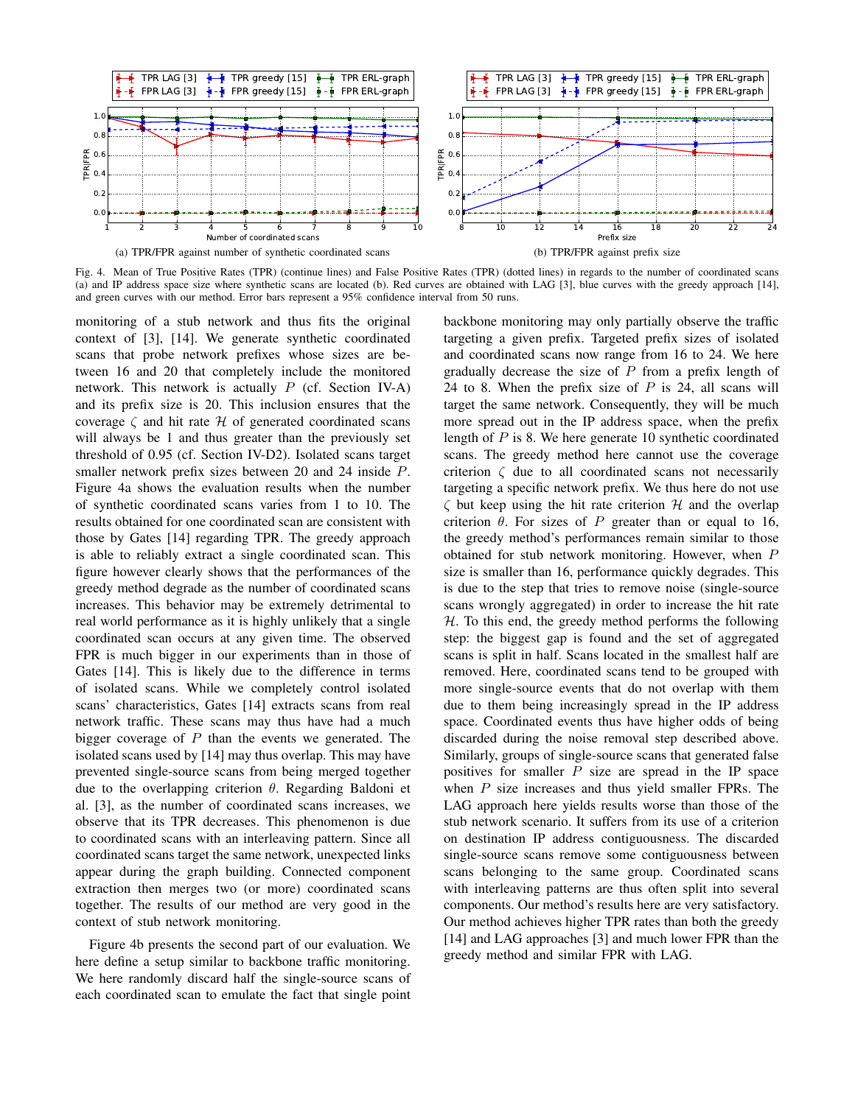

Fig. 4. Mean of True Positive Rates (TPR) (continue lines) and False Positive Rates (TPR) (dotted lines) in regards to the number of coordinated scans (a) and IP address space size where synthetic scans are located (b). Red curves are obtained with LAG [3], blue curves with the greedy approach [14], and green curves with our method. Error bars represent a 95% confidence interval from 50 runs.

monitoring of a stub network and thus fits the original context of [3], [14]. We generate synthetic coordinated scans that probe network prefixes whose sizes are between 16 and 20 that completely include the monitored network. This network is actually  $P$  (cf. Section IV-A) and its prefix size is 20. This inclusion ensures that the coverage  $\zeta$  and hit rate  $\mathcal H$  of generated coordinated scans will always be 1 and thus greater than the previously set threshold of 0.95 (cf. Section IV-D2). Isolated scans target smaller network prefix sizes between 20 and 24 inside P. Figure 4a shows the evaluation results when the number of synthetic coordinated scans varies from 1 to 10. The results obtained for one coordinated scan are consistent with those by Gates [14] regarding TPR. The greedy approach is able to reliably extract a single coordinated scan. This figure however clearly shows that the performances of the greedy method degrade as the number of coordinated scans increases. This behavior may be extremely detrimental to real world performance as it is highly unlikely that a single coordinated scan occurs at any given time. The observed FPR is much bigger in our experiments than in those of Gates [14]. This is likely due to the difference in terms of isolated scans. While we completely control isolated scans' characteristics, Gates [14] extracts scans from real network traffic. These scans may thus have had a much bigger coverage of  $P$  than the events we generated. The isolated scans used by [14] may thus overlap. This may have prevented single-source scans from being merged together due to the overlapping criterion  $\theta$ . Regarding Baldoni et al. [3], as the number of coordinated scans increases, we observe that its TPR decreases. This phenomenon is due to coordinated scans with an interleaving pattern. Since all coordinated scans target the same network, unexpected links appear during the graph building. Connected component extraction then merges two (or more) coordinated scans together. The results of our method are very good in the context of stub network monitoring.

Figure 4b presents the second part of our evaluation. We here define a setup similar to backbone traffic monitoring. We here randomly discard half the single-source scans of each coordinated scan to emulate the fact that single point backbone monitoring may only partially observe the traffic targeting a given prefix. Targeted prefix sizes of isolated and coordinated scans now range from 16 to 24. We here gradually decrease the size of  $P$  from a prefix length of 24 to 8. When the prefix size of  $P$  is 24, all scans will target the same network. Consequently, they will be much more spread out in the IP address space, when the prefix length of  $P$  is 8. We here generate 10 synthetic coordinated scans. The greedy method here cannot use the coverage criterion  $\zeta$  due to all coordinated scans not necessarily targeting a specific network prefix. We thus here do not use  $\zeta$  but keep using the hit rate criterion  $\mathcal H$  and the overlap criterion  $\theta$ . For sizes of P greater than or equal to 16, the greedy method's performances remain similar to those obtained for stub network monitoring. However, when P size is smaller than 16, performance quickly degrades. This is due to the step that tries to remove noise (single-source scans wrongly aggregated) in order to increase the hit rate  $H$ . To this end, the greedy method performs the following step: the biggest gap is found and the set of aggregated scans is split in half. Scans located in the smallest half are removed. Here, coordinated scans tend to be grouped with more single-source events that do not overlap with them due to them being increasingly spread in the IP address space. Coordinated events thus have higher odds of being discarded during the noise removal step described above. Similarly, groups of single-source scans that generated false positives for smaller  $P$  size are spread in the IP space when  $P$  size increases and thus yield smaller FPRs. The LAG approach here yields results worse than those of the stub network scenario. It suffers from its use of a criterion on destination IP address contiguousness. The discarded single-source scans remove some contiguousness between scans belonging to the same group. Coordinated scans with interleaving patterns are thus often split into several components. Our method's results here are very satisfactory. Our method achieves higher TPR rates than both the greedy [14] and LAG approaches [3] and much lower FPR than the greedy method and similar FPR with LAG.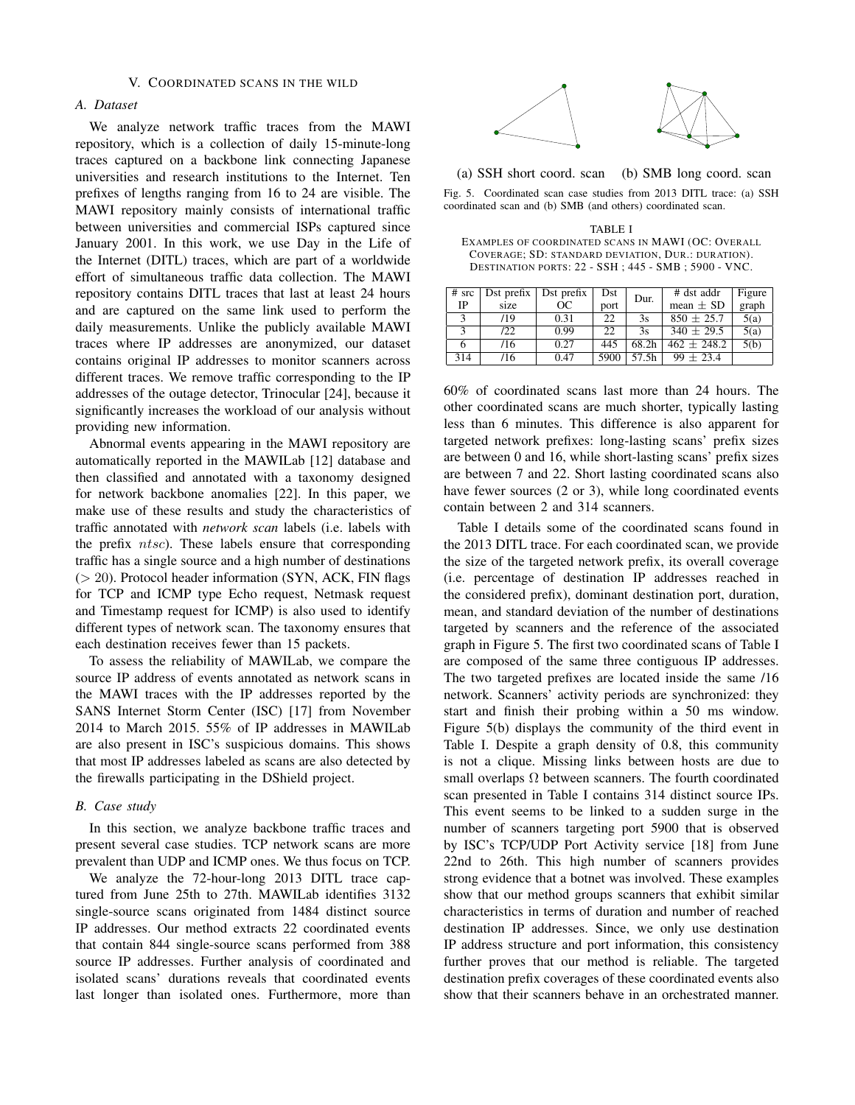# *A. Dataset*

We analyze network traffic traces from the MAWI repository, which is a collection of daily 15-minute-long traces captured on a backbone link connecting Japanese universities and research institutions to the Internet. Ten prefixes of lengths ranging from 16 to 24 are visible. The MAWI repository mainly consists of international traffic between universities and commercial ISPs captured since January 2001. In this work, we use Day in the Life of the Internet (DITL) traces, which are part of a worldwide effort of simultaneous traffic data collection. The MAWI repository contains DITL traces that last at least 24 hours and are captured on the same link used to perform the daily measurements. Unlike the publicly available MAWI traces where IP addresses are anonymized, our dataset contains original IP addresses to monitor scanners across different traces. We remove traffic corresponding to the IP addresses of the outage detector, Trinocular [24], because it significantly increases the workload of our analysis without providing new information.

Abnormal events appearing in the MAWI repository are automatically reported in the MAWILab [12] database and then classified and annotated with a taxonomy designed for network backbone anomalies [22]. In this paper, we make use of these results and study the characteristics of traffic annotated with *network scan* labels (i.e. labels with the prefix ntsc). These labels ensure that corresponding traffic has a single source and a high number of destinations  $(> 20)$ . Protocol header information (SYN, ACK, FIN flags for TCP and ICMP type Echo request, Netmask request and Timestamp request for ICMP) is also used to identify different types of network scan. The taxonomy ensures that each destination receives fewer than 15 packets.

To assess the reliability of MAWILab, we compare the source IP address of events annotated as network scans in the MAWI traces with the IP addresses reported by the SANS Internet Storm Center (ISC) [17] from November 2014 to March 2015. 55% of IP addresses in MAWILab are also present in ISC's suspicious domains. This shows that most IP addresses labeled as scans are also detected by the firewalls participating in the DShield project.

# *B. Case study*

In this section, we analyze backbone traffic traces and present several case studies. TCP network scans are more prevalent than UDP and ICMP ones. We thus focus on TCP.

We analyze the 72-hour-long 2013 DITL trace captured from June 25th to 27th. MAWILab identifies 3132 single-source scans originated from 1484 distinct source IP addresses. Our method extracts 22 coordinated events that contain 844 single-source scans performed from 388 source IP addresses. Further analysis of coordinated and isolated scans' durations reveals that coordinated events last longer than isolated ones. Furthermore, more than



(a) SSH short coord. scan (b) SMB long coord. scan Fig. 5. Coordinated scan case studies from 2013 DITL trace: (a) SSH coordinated scan and (b) SMB (and others) coordinated scan.

TABLE I EXAMPLES OF COORDINATED SCANS IN MAWI (OC: OVERALL COVERAGE; SD: STANDARD DEVIATION, DUR.: DURATION). DESTINATION PORTS: 22 - SSH ; 445 - SMB ; 5900 - VNC.

| $#$ src<br>IP | Dst prefix $\vert$<br>size | Dst prefix<br><sub>OC</sub> | Dst<br>port | Dur.  | # dst addr<br>mean $\pm$ SD | Figure<br>graph |
|---------------|----------------------------|-----------------------------|-------------|-------|-----------------------------|-----------------|
|               | /19                        | 0.31                        | 22          | 3s    | $850 \pm 25.7$              | 5(a)            |
|               | /22                        | 0.99                        | 22          | 3s    | $340 \pm 29.5$              | 5(a)            |
|               | /16                        | 0.27                        | 445         | 68.2h | $462 \pm 248.2$             | 5(b)            |
| 314           | /16                        | 0.47                        | 5900        | 57.5h | $99 \pm 23.4$               |                 |

60% of coordinated scans last more than 24 hours. The other coordinated scans are much shorter, typically lasting less than 6 minutes. This difference is also apparent for targeted network prefixes: long-lasting scans' prefix sizes are between 0 and 16, while short-lasting scans' prefix sizes are between 7 and 22. Short lasting coordinated scans also have fewer sources (2 or 3), while long coordinated events contain between 2 and 314 scanners.

Table I details some of the coordinated scans found in the 2013 DITL trace. For each coordinated scan, we provide the size of the targeted network prefix, its overall coverage (i.e. percentage of destination IP addresses reached in the considered prefix), dominant destination port, duration, mean, and standard deviation of the number of destinations targeted by scanners and the reference of the associated graph in Figure 5. The first two coordinated scans of Table I are composed of the same three contiguous IP addresses. The two targeted prefixes are located inside the same /16 network. Scanners' activity periods are synchronized: they start and finish their probing within a 50 ms window. Figure 5(b) displays the community of the third event in Table I. Despite a graph density of 0.8, this community is not a clique. Missing links between hosts are due to small overlaps  $\Omega$  between scanners. The fourth coordinated scan presented in Table I contains 314 distinct source IPs. This event seems to be linked to a sudden surge in the number of scanners targeting port 5900 that is observed by ISC's TCP/UDP Port Activity service [18] from June 22nd to 26th. This high number of scanners provides strong evidence that a botnet was involved. These examples show that our method groups scanners that exhibit similar characteristics in terms of duration and number of reached destination IP addresses. Since, we only use destination IP address structure and port information, this consistency further proves that our method is reliable. The targeted destination prefix coverages of these coordinated events also show that their scanners behave in an orchestrated manner.